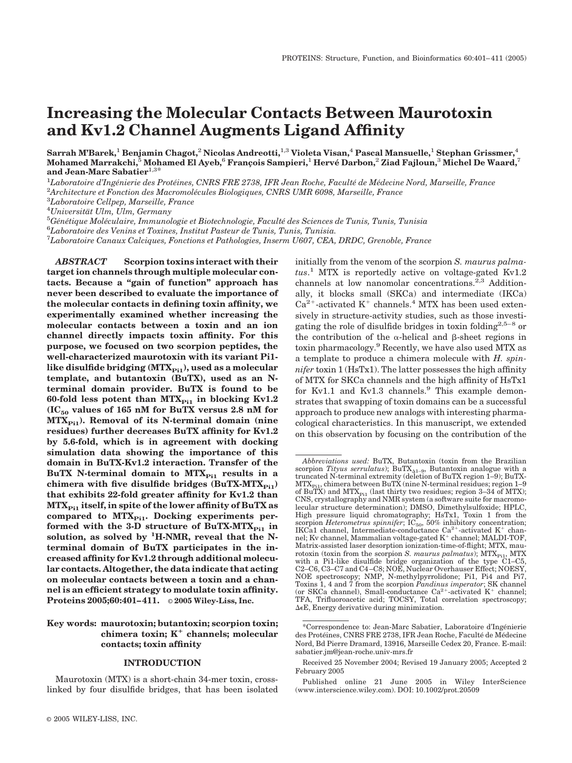# **Increasing the Molecular Contacts Between Maurotoxin and Kv1.2 Channel Augments Ligand Affinity**

**Sarrah M'Barek,**<sup>1</sup> **Benjamin Chagot,**<sup>2</sup> **Nicolas Andreotti,**1,3 **Violeta Visan,**<sup>4</sup> **Pascal Mansuelle,**<sup>1</sup> **Stephan Grissmer,**<sup>4</sup> **Mohamed Marrakchi,**<sup>5</sup> Mohamed El Ayeb,<sup>6</sup> François Sampieri,<sup>1</sup> Hervé Darbon,<sup>2</sup> Ziad Fajloun,<sup>3</sup> Michel De Waard,<sup>7</sup> **and Jean-Marc Sabatier**1,3\*

<sup>1</sup>Laboratoire d'Ingénierie des Protéines, CNRS FRE 2738, IFR Jean Roche, Faculté de Médecine Nord, Marseille, France<br><sup>2</sup>Architecture et Fonction des Macromolécules Biologiques, CNRS LIMB 6098, Marseille, France

<sup>2</sup> Architecture et Fonction des Macromolécules Biologiques, CNRS UMR 6098, Marseille, France

*Laboratoire Cellpep, Marseille, France*

<sup>4</sup> Universität Ulm, Ülm, Germany<br><sup>5</sup> Génétique Moléculaire, Immunol

<sup>5</sup>Génétique Moléculaire, Immunologie et Biotechnologie, Faculté des Sciences de Tunis, Tunis, Tunisia

*Laboratoire des Venins et Toxines, Institut Pasteur de Tunis, Tunis, Tunisia.*

7 *Laboratoire Canaux Calciques, Fonctions et Pathologies, Inserm U607, CEA, DRDC, Grenoble, France*

*ABSTRACT* **Scorpion toxins interact with their target ion channels through multiple molecular contacts. Because a "gain of function" approach has never been described to evaluate the importance of the molecular contacts in defining toxin affinity, we experimentally examined whether increasing the molecular contacts between a toxin and an ion channel directly impacts toxin affinity. For this purpose, we focused on two scorpion peptides, the well-characterized maurotoxin with its variant Pi1** like disulfide bridging (MTX<sub>Pi1</sub>), used as a molecular **template, and butantoxin (BuTX), used as an Nterminal domain provider. BuTX is found to be** 60-fold less potent than MTX<sub>Pi1</sub> in blocking Kv1.2 **(IC50 values of 165 nM for BuTX versus 2.8 nM for** MTX<sub>Pi1</sub>). Removal of its N-terminal domain (nine **residues) further decreases BuTX affinity for Kv1.2 by 5.6-fold, which is in agreement with docking simulation data showing the importance of this domain in BuTX-Kv1.2 interaction. Transfer of the** BuTX N-terminal domain to MTX<sub>Pi1</sub> results in a chimera with five disulfide bridges  $(BuTX-MTX_{Pi1})$ **that exhibits 22-fold greater affinity for Kv1.2 than MTX**<sub>Pi1</sub> itself, in spite of the lower affinity of BuTX as compared to MTX<sub>Pi1</sub>. Docking experiments performed with the 3-D structure of BuTX- $MTX_{p_{i1}}$  in **solution, as solved by <sup>1</sup> H-NMR, reveal that the Nterminal domain of BuTX participates in the increased affinity for Kv1.2 through additional molecular contacts. Altogether, the data indicate that acting on molecular contacts between a toxin and a channel is an efficient strategy to modulate toxin affinity. Proteins 2005;60:401– 411.** © **2005 Wiley-Liss, Inc.**

# **Key words: maurotoxin; butantoxin; scorpion toxin;** chimera toxin; K<sup>+</sup> channels; molecular **contacts; toxin affinity**

## **INTRODUCTION**

Maurotoxin (MTX) is a short-chain 34-mer toxin, crosslinked by four disulfide bridges, that has been isolated initially from the venom of the scorpion *S. maurus palmatus*. <sup>1</sup> MTX is reportedly active on voltage-gated Kv1.2 channels at low nanomolar concentrations.<sup>2,3</sup> Additionally, it blocks small (SKCa) and intermediate (IKCa)  $Ca^{2+}$ -activated K<sup>+</sup> channels.<sup>4</sup> MTX has been used extensively in structure-activity studies, such as those investigating the role of disulfide bridges in toxin folding<sup>2,5-8</sup> or the contribution of the  $\alpha$ -helical and  $\beta$ -sheet regions in toxin pharmacology.9 Recently, we have also used MTX as a template to produce a chimera molecule with *H. spinnifer* toxin 1 (HsTx1). The latter possesses the high affinity of MTX for SKCa channels and the high affinity of HsTx1 for Kv1.1 and Kv1.3 channels. $9$  This example demonstrates that swapping of toxin domains can be a successful approach to produce new analogs with interesting pharmacological characteristics. In this manuscript, we extended on this observation by focusing on the contribution of the

*Abbreviations used:* BuTX, Butantoxin (toxin from the Brazilian scorpion *Tityus serrulatus*); BuTX<sub>41-9</sub>, Butantoxin analogue with a truncated N-terminal extremity (deletion of BuTX region 1–9); BuTX-<br>MTX<sub>P11</sub>, chimera between BuTX (nine N-terminal residues; region 1–9 of BuTX) and  $MTX_{\text{Pi}}$  (last thirty two residues; region 3–34 of MTX); CNS, crystallography and NMR system (a software suite for macromolecular structure determination); DMSO, Dimethylsulfoxide; HPLC, High pressure liquid chromatography; HsTx1, Toxin 1 from the scorpion *Heterometrus spinnifer*; IC<sub>50</sub>, 50% inhibitory concentration; IKCa1 channel, Intermediate-conductance  $Ca^{2+}$ -activated K<sup>+</sup> channel; Kv channel, Mammalian voltage-gated  $K^+$  channel; MALDI-TOF, Matrix-assisted laser desorption ionization-time-of-flight; MTX, maurotoxin (toxin from the scorpion *S. maurus palmatus*); MTX<sub>Pi1</sub>, MTX<br>with a Pi1-like disulfide bridge organization of the type C1–C5, C2–C6, C3–C7 and C4 –C8; NOE, Nuclear Overhauser Effect; NOESY, NOE spectroscopy; NMP, N-methylpyrrolidone; Pi1, Pi4 and Pi7, Toxins 1, 4 and 7 from the scorpion *Pandinus imperator*; SK channel (or SKCa channel), Small-conductance Ca<sup>2+</sup>-activated K<sup>+</sup> channel; TFA, Trifluoroacetic acid; TOCSY, Total correlation spectroscopy;  $\Delta \in E$ , Energy derivative during minimization.

<sup>\*</sup>Correspondence to: Jean-Marc Sabatier, Laboratoire d'Ingénierie des Protéines, CNRS FRE 2738, IFR Jean Roche, Faculté de Médecine Nord, Bd Pierre Dramard, 13916, Marseille Cedex 20, France. E-mail: sabatier.jm@jean-roche.univ-mrs.fr

Received 25 November 2004; Revised 19 January 2005; Accepted 2 February 2005

Published online 21 June 2005 in Wiley InterScience (www.interscience.wiley.com). DOI: 10.1002/prot.20509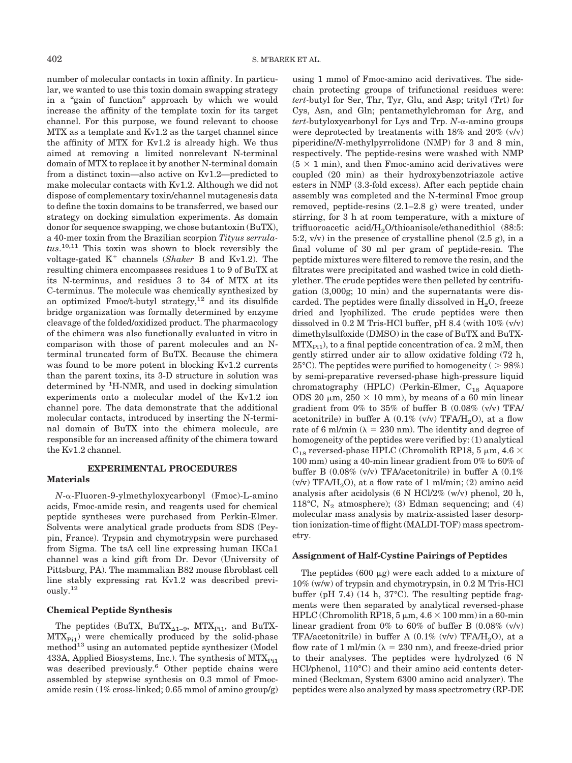number of molecular contacts in toxin affinity. In particular, we wanted to use this toxin domain swapping strategy in a "gain of function" approach by which we would increase the affinity of the template toxin for its target channel. For this purpose, we found relevant to choose MTX as a template and Kv1.2 as the target channel since the affinity of MTX for Kv1.2 is already high. We thus aimed at removing a limited nonrelevant N-terminal domain of MTX to replace it by another N-terminal domain from a distinct toxin—also active on Kv1.2—predicted to make molecular contacts with Kv1.2. Although we did not dispose of complementary toxin/channel mutagenesis data to define the toxin domains to be transferred, we based our strategy on docking simulation experiments. As domain donor for sequence swapping, we chose butantoxin (BuTX), a 40-mer toxin from the Brazilian scorpion *Tityus serrulatus*. 10,11 This toxin was shown to block reversibly the voltage-gated K<sup>+</sup> channels (*Shaker* B and Kv1.2). The resulting chimera encompasses residues 1 to 9 of BuTX at its N-terminus, and residues 3 to 34 of MTX at its C-terminus. The molecule was chemically synthesized by an optimized Fmoc/t-butyl strategy, $12$  and its disulfide bridge organization was formally determined by enzyme cleavage of the folded/oxidized product. The pharmacology of the chimera was also functionally evaluated in vitro in comparison with those of parent molecules and an Nterminal truncated form of BuTX. Because the chimera was found to be more potent in blocking Kv1.2 currents than the parent toxins, its 3-D structure in solution was determined by <sup>1</sup> H-NMR, and used in docking simulation experiments onto a molecular model of the Kv1.2 ion channel pore. The data demonstrate that the additional molecular contacts, introduced by inserting the N-terminal domain of BuTX into the chimera molecule, are responsible for an increased affinity of the chimera toward the Kv1.2 channel.

## **EXPERIMENTAL PROCEDURES Materials**

 $N$ -α-Fluoren-9-ylmethyloxycarbonyl (Fmoc)-L-amino acids, Fmoc-amide resin, and reagents used for chemical peptide syntheses were purchased from Perkin-Elmer. Solvents were analytical grade products from SDS (Peypin, France). Trypsin and chymotrypsin were purchased from Sigma. The tsA cell line expressing human IKCa1 channel was a kind gift from Dr. Devor (University of Pittsburg, PA). The mammalian B82 mouse fibroblast cell line stably expressing rat Kv1.2 was described previously.12

## **Chemical Peptide Synthesis**

The peptides (BuTX, BuTX<sub> $\Delta$ 1–9</sub>, MTX<sub>Pi1</sub>, and BuTX- $MTX_{Pi1}$ ) were chemically produced by the solid-phase method<sup>13</sup> using an automated peptide synthesizer (Model 433A, Applied Biosystems, Inc.). The synthesis of  $MTX_{p_{i1}}$ was described previously.<sup>6</sup> Other peptide chains were assembled by stepwise synthesis on 0.3 mmol of Fmocamide resin (1% cross-linked; 0.65 mmol of amino group/g)

using 1 mmol of Fmoc-amino acid derivatives. The sidechain protecting groups of trifunctional residues were: *tert-*butyl for Ser, Thr, Tyr, Glu, and Asp; trityl (Trt) for Cys, Asn, and Gln; pentamethylchroman for Arg, and *tert*-butyloxycarbonyl for Lys and Trp. *N*-α-amino groups were deprotected by treatments with 18% and 20% (v/v) piperidine/*N-*methylpyrrolidone (NMP) for 3 and 8 min, respectively. The peptide-resins were washed with NMP  $(5 \times 1 \text{ min})$ , and then Fmoc-amino acid derivatives were coupled (20 min) as their hydroxybenzotriazole active esters in NMP (3.3-fold excess). After each peptide chain assembly was completed and the N-terminal Fmoc group removed, peptide-resins (2.1–2.8 g) were treated, under stirring, for 3 h at room temperature, with a mixture of trifluoroacetic acid/H2O/thioanisole/ethanedithiol (88:5: 5:2, v/v) in the presence of crystalline phenol (2.5 g), in a final volume of 30 ml per gram of peptide-resin. The peptide mixtures were filtered to remove the resin, and the filtrates were precipitated and washed twice in cold diethylether. The crude peptides were then pelleted by centrifugation (3,000g; 10 min) and the supernatants were discarded. The peptides were finally dissolved in  $H<sub>2</sub>O$ , freeze dried and lyophilized. The crude peptides were then dissolved in 0.2 M Tris-HCl buffer, pH 8.4 (with 10% (v/v) dimethylsulfoxide (DMSO) in the case of BuTX and BuTX- $MTX_{Pi1}$ , to a final peptide concentration of ca. 2 mM, then gently stirred under air to allow oxidative folding (72 h, 25°C). The peptides were purified to homogeneity ( $> 98\%$ ) by semi-preparative reversed-phase high-pressure liquid chromatography (HPLC) (Perkin-Elmer,  $C_{18}$  Aquapore ODS 20  $\mu$ m, 250  $\times$  10 mm), by means of a 60 min linear gradient from 0% to 35% of buffer B (0.08% (v/v) TFA/ acetonitrile) in buffer A  $(0.1\%$  (v/v) TFA/H<sub>2</sub>O), at a flow rate of 6 ml/min ( $\lambda = 230$  nm). The identity and degree of homogeneity of the peptides were verified by: (1) analytical  $C_{18}$  reversed-phase HPLC (Chromolith RP18, 5  $\mu$ m, 4.6  $\times$ 100 mm) using a 40-min linear gradient from 0% to 60% of buffer B (0.08% (v/v) TFA/acetonitrile) in buffer A (0.1%  $(v/v)$  TFA/H<sub>2</sub>O), at a flow rate of 1 ml/min; (2) amino acid analysis after acidolysis (6 N HCl/2% (w/v) phenol, 20 h, 118°C,  $N_2$  atmosphere); (3) Edman sequencing; and (4) molecular mass analysis by matrix-assisted laser desorption ionization-time of flight (MALDI-TOF) mass spectrometry.

## **Assignment of Half-Cystine Pairings of Peptides**

The peptides  $(600 \mu g)$  were each added to a mixture of 10% (w/w) of trypsin and chymotrypsin, in 0.2 M Tris-HCl buffer (pH 7.4) (14 h, 37°C). The resulting peptide fragments were then separated by analytical reversed-phase HPLC (Chromolith RP18,  $5 \mu m$ ,  $4.6 \times 100$  mm) in a 60-min linear gradient from  $0\%$  to  $60\%$  of buffer B  $(0.08\%$  (v/v) TFA/acetonitrile) in buffer A  $(0.1\%$  (v/v) TFA/H<sub>2</sub>O), at a flow rate of 1 ml/min ( $\lambda = 230$  nm), and freeze-dried prior to their analyses. The peptides were hydrolyzed (6 N HCl/phenol, 110°C) and their amino acid contents determined (Beckman, System 6300 amino acid analyzer). The peptides were also analyzed by mass spectrometry (RP-DE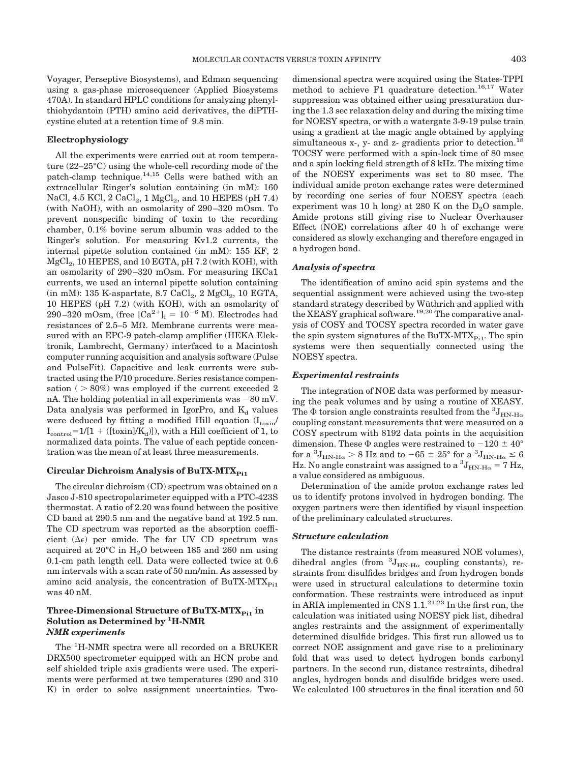Voyager, Perseptive Biosystems), and Edman sequencing using a gas-phase microsequencer (Applied Biosystems 470A). In standard HPLC conditions for analyzing phenylthiohydantoin (PTH) amino acid derivatives, the diPTHcystine eluted at a retention time of 9.8 min.

#### **Electrophysiology**

All the experiments were carried out at room temperature (22–25°C) using the whole-cell recording mode of the patch-clamp technique.14,15 Cells were bathed with an extracellular Ringer's solution containing (in mM): 160 NaCl, 4.5 KCl,  $2 \text{ CaCl}_2$ ,  $1 \text{ MgCl}_2$ , and  $10 \text{ HEPES (pH 7.4)}$ (with NaOH), with an osmolarity of 290 –320 mOsm. To prevent nonspecific binding of toxin to the recording chamber, 0.1% bovine serum albumin was added to the Ringer's solution. For measuring Kv1.2 currents, the internal pipette solution contained (in mM): 155 KF, 2  $MgCl<sub>2</sub>$ , 10 HEPES, and 10 EGTA, pH 7.2 (with KOH), with an osmolarity of 290 –320 mOsm. For measuring IKCa1 currents, we used an internal pipette solution containing (in mM): 135 K-aspartate, 8.7 CaCl<sub>2</sub>, 2 MgCl<sub>2</sub>, 10 EGTA, 10 HEPES (pH 7.2) (with KOH), with an osmolarity of 290–320 mOsm, (free  $[Ca^{2+}]_i = 10^{-6}$  M). Electrodes had resistances of 2.5–5  $M\Omega$ . Membrane currents were measured with an EPC-9 patch-clamp amplifier (HEKA Elektronik, Lambrecht, Germany) interfaced to a Macintosh computer running acquisition and analysis software (Pulse and PulseFit). Capacitive and leak currents were subtracted using the P/10 procedure. Series resistance compensation ( $> 80\%$ ) was employed if the current exceeded 2 nA. The holding potential in all experiments was  $-80$  mV. Data analysis was performed in IgorPro, and  $K_d$  values were deduced by fitting a modified Hill equation  $(I_{\text{toxin}}/I_{\text{towin}})$  $I_{\rm control} = 1/[1 + ([toxin]/K_d)])$ , with a Hill coefficient of 1, to normalized data points. The value of each peptide concentration was the mean of at least three measurements.

## **Circular Dichroism Analysis of BuTX-MTX**<sub>Pi1</sub>

The circular dichroism (CD) spectrum was obtained on a Jasco J-810 spectropolarimeter equipped with a PTC-423S thermostat. A ratio of 2.20 was found between the positive CD band at 290.5 nm and the negative band at 192.5 nm. The CD spectrum was reported as the absorption coefficient  $(\Delta \epsilon)$  per amide. The far UV CD spectrum was acquired at  $20^{\circ}$ C in H<sub>2</sub>O between 185 and 260 nm using 0.1-cm path length cell. Data were collected twice at 0.6 nm intervals with a scan rate of 50 nm/min. As assessed by amino acid analysis, the concentration of BuTX-MTX $_{\rm{Pi}}$ was 40 nM.

## **Three-Dimensional Structure of BuTX-MTX**<sub>Pi1</sub> in **Solution as Determined by <sup>1</sup> H-NMR** *NMR experiments*

The <sup>1</sup>H-NMR spectra were all recorded on a BRUKER DRX500 spectrometer equipped with an HCN probe and self shielded triple axis gradients were used. The experiments were performed at two temperatures (290 and 310 K) in order to solve assignment uncertainties. Twodimensional spectra were acquired using the States-TPPI method to achieve F1 quadrature detection.<sup>16,17</sup> Water suppression was obtained either using presaturation during the 1.3 sec relaxation delay and during the mixing time for NOESY spectra, or with a watergate 3-9-19 pulse train using a gradient at the magic angle obtained by applying simultaneous  $x$ -,  $y$ - and  $z$ - gradients prior to detection.<sup>1</sup> TOCSY were performed with a spin-lock time of 80 msec and a spin locking field strength of 8 kHz. The mixing time of the NOESY experiments was set to 80 msec. The individual amide proton exchange rates were determined by recording one series of four NOESY spectra (each experiment was 10 h long) at 280 K on the  $D_2O$  sample. Amide protons still giving rise to Nuclear Overhauser Effect (NOE) correlations after 40 h of exchange were considered as slowly exchanging and therefore engaged in a hydrogen bond.

#### *Analysis of spectra*

The identification of amino acid spin systems and the sequential assignment were achieved using the two-step standard strategy described by Wüthrich and applied with the XEASY graphical software.19,20 The comparative analysis of COSY and TOCSY spectra recorded in water gave the spin system signatures of the BuTX-MT $X_{Pi1}$ . The spin systems were then sequentially connected using the NOESY spectra.

#### *Experimental restraints*

The integration of NOE data was performed by measuring the peak volumes and by using a routine of XEASY. The  $\Phi$  torsion angle constraints resulted from the  $^3{\rm J_{HN-H\alpha}}$  coupling constant measurements that were measured on a COSY spectrum with 8192 data points in the acquisition dimension. These  $\Phi$  angles were restrained to  $-120 \pm 40^{\circ}$ for a  $^3{\rm J}_{\rm H N\text{-}H\alpha} > 8$  Hz and to  $-65\pm25^{\circ}$  for a  $^3{\rm J}_{\rm H N\text{-}H\alpha} \le 6$ Hz. No angle constraint was assigned to a  ${}^{3}J_{HN\text{-}H\alpha} = 7 \text{ Hz}$ , a value considered as ambiguous.

Determination of the amide proton exchange rates led us to identify protons involved in hydrogen bonding. The oxygen partners were then identified by visual inspection of the preliminary calculated structures.

#### *Structure calculation*

The distance restraints (from measured NOE volumes), dihedral angles (from  ${}^{3}J_{HN\text{-H}\alpha}$  coupling constants), restraints from disulfides bridges and from hydrogen bonds were used in structural calculations to determine toxin conformation. These restraints were introduced as input in ARIA implemented in CNS  $1.1^{21,23}$  In the first run, the calculation was initiated using NOESY pick list, dihedral angles restraints and the assignment of experimentally determined disulfide bridges. This first run allowed us to correct NOE assignment and gave rise to a preliminary fold that was used to detect hydrogen bonds carbonyl partners. In the second run, distance restraints, dihedral angles, hydrogen bonds and disulfide bridges were used. We calculated 100 structures in the final iteration and 50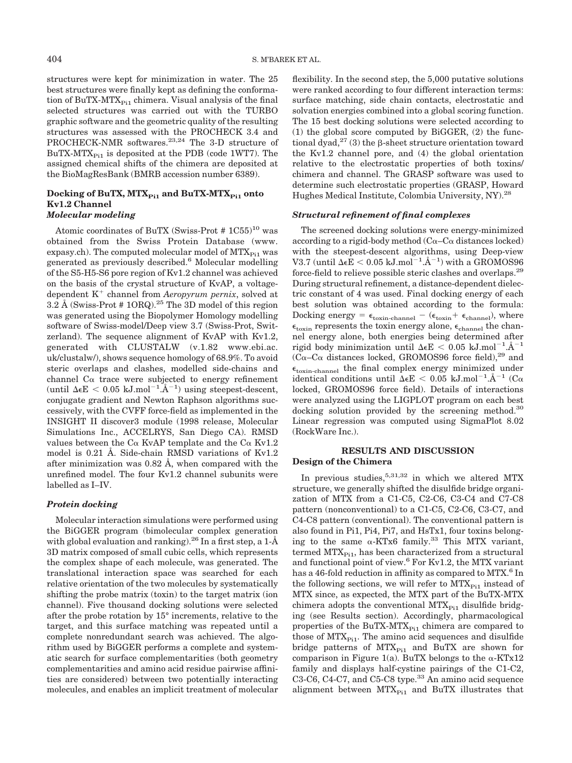structures were kept for minimization in water. The 25 best structures were finally kept as defining the conformation of BuTX-MTX $_{\text{Pi}}$  chimera. Visual analysis of the final selected structures was carried out with the TURBO graphic software and the geometric quality of the resulting structures was assessed with the PROCHECK 3.4 and PROCHECK-NMR softwares.<sup>23,24</sup> The 3-D structure of BuTX-MTX $_{\text{Pi}}$  is deposited at the PDB (code 1WT7). The assigned chemical shifts of the chimera are deposited at the BioMagResBank (BMRB accession number 6389).

# Docking of BuTX,  $MTX_{Pi1}$  and BuTX- $MTX_{Pi1}$  onto **Kv1.2 Channel** *Molecular modeling*

Atomic coordinates of BuTX (Swiss-Prot #  $1C55$ )<sup>10</sup> was obtained from the Swiss Protein Database (www. expasy.ch). The computed molecular model of  $MTX_{p_{i1}}$  was generated as previously described.6 Molecular modelling of the S5-H5-S6 pore region of Kv1.2 channel was achieved on the basis of the crystal structure of KvAP, a voltagedependent K<sup>+</sup> channel from *Aeropyrum pernix*, solved at  $3.2 \text{ Å}$  (Swiss-Prot # 1ORQ).<sup>25</sup> The 3D model of this region was generated using the Biopolymer Homology modelling software of Swiss-model/Deep view 3.7 (Swiss-Prot, Switzerland). The sequence alignment of KvAP with Kv1.2, generated with CLUSTALW (v.1.82 www.ebi.ac. uk/clustalw/), shows sequence homology of 68.9%. To avoid steric overlaps and clashes, modelled side-chains and channel  $C\alpha$  trace were subjected to energy refinement (until  $\Delta \epsilon E$  < 0.05 kJ.mol<sup>-1</sup>. $\AA^{-1}$ ) using steepest-descent, conjugate gradient and Newton Raphson algorithms successively, with the CVFF force-field as implemented in the INSIGHT II discover3 module (1998 release, Molecular Simulations Inc., ACCELRYS, San Diego CA). RMSD values between the C $\alpha$  KvAP template and the C $\alpha$  Kv1.2 model is 0.21 Å. Side-chain RMSD variations of Kv1.2 after minimization was 0.82 Å, when compared with the unrefined model. The four Kv1.2 channel subunits were labelled as I–IV.

## *Protein docking*

Molecular interaction simulations were performed using the BiGGER program (bimolecular complex generation with global evaluation and ranking).<sup>26</sup> In a first step, a 1-Å 3D matrix composed of small cubic cells, which represents the complex shape of each molecule, was generated. The translational interaction space was searched for each relative orientation of the two molecules by systematically shifting the probe matrix (toxin) to the target matrix (ion channel). Five thousand docking solutions were selected after the probe rotation by 15° increments, relative to the target, and this surface matching was repeated until a complete nonredundant search was achieved. The algorithm used by BiGGER performs a complete and systematic search for surface complementarities (both geometry complementarities and amino acid residue pairwise affinities are considered) between two potentially interacting molecules, and enables an implicit treatment of molecular

flexibility. In the second step, the 5,000 putative solutions were ranked according to four different interaction terms: surface matching, side chain contacts, electrostatic and solvation energies combined into a global scoring function. The 15 best docking solutions were selected according to (1) the global score computed by BiGGER, (2) the functional dyad,<sup>27</sup> (3) the  $\beta$ -sheet structure orientation toward the Kv1.2 channel pore, and (4) the global orientation relative to the electrostatic properties of both toxins/ chimera and channel. The GRASP software was used to determine such electrostatic properties (GRASP, Howard Hughes Medical Institute, Colombia University, NY).28

#### *Structural refinement of final complexes*

The screened docking solutions were energy-minimized according to a rigid-body method ( $C\alpha$ – $C\alpha$  distances locked) with the steepest-descent algorithms, using Deep-view V3.7 (until  $\Delta \epsilon E < 0.05 \text{ kJ}$ .mol $^{-1}$ . $\rm \AA^{-1})$  with a GROMOS96 force-field to relieve possible steric clashes and overlaps.29 During structural refinement, a distance-dependent dielectric constant of 4 was used. Final docking energy of each best solution was obtained according to the formula: Docking energy =  $\epsilon_{\text{toxin-channel}} - (\epsilon_{\text{toxin}} + \epsilon_{\text{channel}})$ , where  $\epsilon_{\text{toxin}}$  represents the toxin energy alone,  $\epsilon_{\text{channel}}$  the channel energy alone, both energies being determined after rigid body minimization until  $\Delta \epsilon {\rm E} < 0.05$  kJ.mol $^{-1}$ .Å $^{-1}$ ( $\overline{C\alpha}$ -C $\alpha$  distances locked, GROMOS96 force field),<sup>29</sup> and  $\epsilon_{\text{toxin-channel}}$  the final complex energy minimized under identical conditions until  $\Delta \in E < 0.05$  kJ.mol<sup>-1</sup>. $\AA^{-1}$  (C $\alpha$ locked, GROMOS96 force field). Details of interactions were analyzed using the LIGPLOT program on each best docking solution provided by the screening method.<sup>30</sup> Linear regression was computed using SigmaPlot 8.02 (RockWare Inc.).

# **RESULTS AND DISCUSSION Design of the Chimera**

In previous studies,  $5,31,32$  in which we altered MTX structure, we generally shifted the disulfide bridge organization of MTX from a C1-C5, C2-C6, C3-C4 and C7-C8 pattern (nonconventional) to a C1-C5, C2-C6, C3-C7, and C4-C8 pattern (conventional). The conventional pattern is also found in Pi1, Pi4, Pi7, and HsTx1, four toxins belonging to the same  $\alpha$ -KTx6 family.<sup>33</sup> This MTX variant, termed  $MTX_{Pi1}$ , has been characterized from a structural and functional point of view.6 For Kv1.2, the MTX variant has a 46-fold reduction in affinity as compared to MTX.<sup>6</sup> In the following sections, we will refer to  $MTX_{p_{i1}}$  instead of MTX since, as expected, the MTX part of the BuTX-MTX chimera adopts the conventional  $MTX_{Pi1}$  disulfide bridging (see Results section). Accordingly, pharmacological properties of the BuTX-MT $X_{Pi1}$  chimera are compared to those of  $MTX_{Pi1}$ . The amino acid sequences and disulfide bridge patterns of  $MTX_{Pi1}$  and BuTX are shown for comparison in Figure 1(a). BuTX belongs to the  $\alpha$ -KTx12 family and displays half-cystine pairings of the C1-C2, C3-C6, C4-C7, and C5-C8 type.<sup>33</sup> An amino acid sequence alignment between  $MTX_{Pi1}$  and BuTX illustrates that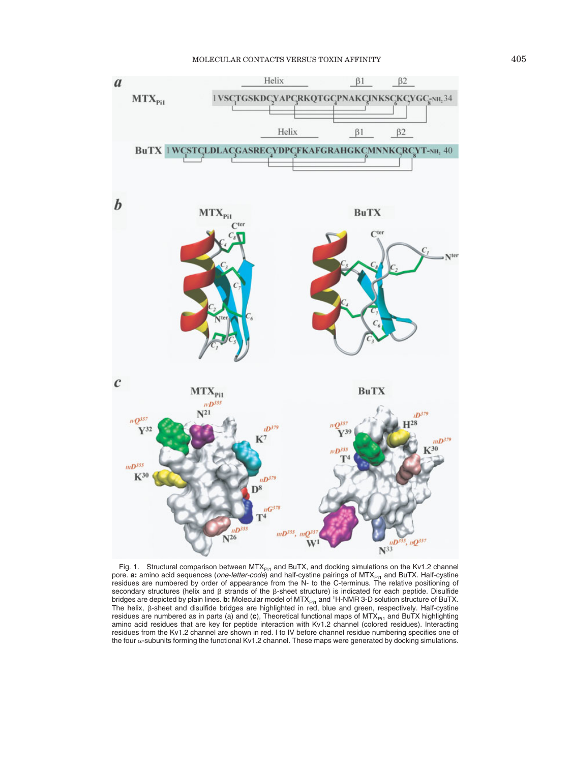# MOLECULAR CONTACTS VERSUS TOXIN AFFINITY 405



Fig. 1. Structural comparison between MTX<sub>Pi1</sub> and BuTX, and docking simulations on the Kv1.2 channel pore. **a:** amino acid sequences (*one-letter-code*) and half-cystine pairings of MTX<sub>Pi1</sub> and BuTX. Half-cystine<br>residues are numbered by order of appearance from the N- to the C-terminus. The relative positioning of secondary structures (helix and  $\beta$  strands of the  $\beta$ -sheet structure) is indicated for each peptide. Disulfide bridges are depicted by plain lines. **b:** Molecular model of MTX<sub>Pi1</sub> and <sup>1</sup>H-NMR 3-D solution structure of BuTX. The helix,  $\beta$ -sheet and disulfide bridges are highlighted in red, blue and green, respectively. Half-cystine residues are numbered as in parts (a) and (**c**), Theoretical functional maps of MTX<sub>PI1</sub> and BuTX highlighting<br>amino acid residues that are key for peptide interaction with Kv1.2 channel (colored residues). Interacting residues from the Kv1.2 channel are shown in red. I to IV before channel residue numbering specifies one of the four  $\alpha$ -subunits forming the functional Kv1.2 channel. These maps were generated by docking simulations.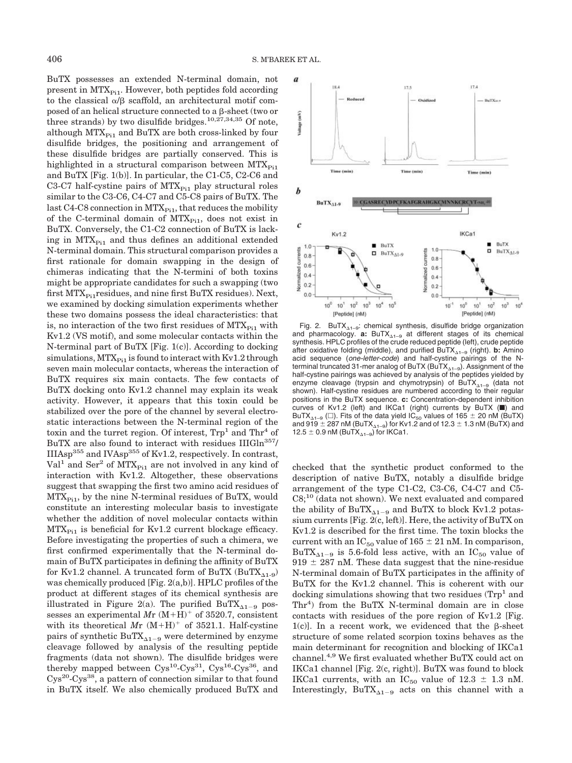BuTX possesses an extended N-terminal domain, not present in  $MTX_{Pi1}$ . However, both peptides fold according to the classical  $\alpha/\beta$  scaffold, an architectural motif composed of an helical structure connected to a  $\beta$ -sheet (two or three strands) by two disulfide bridges.<sup>10,27,34,35</sup> Of note, although  $MTX_{Pi1}$  and BuTX are both cross-linked by four disulfide bridges, the positioning and arrangement of these disulfide bridges are partially conserved. This is highlighted in a structural comparison between  $MTX_{p_{i1}}$ and BuTX [Fig. 1(b)]. In particular, the C1-C5, C2-C6 and C3-C7 half-cystine pairs of  $MTX_{Pi1}$  play structural roles similar to the C3-C6, C4-C7 and C5-C8 pairs of BuTX. The last C4-C8 connection in  $MTX_{Pi1}$ , that reduces the mobility of the C-terminal domain of  $MTX_{Pi1}$ , does not exist in BuTX. Conversely, the C1-C2 connection of BuTX is lacking in MTX<sub>Pi1</sub> and thus defines an additional extended N-terminal domain. This structural comparison provides a first rationale for domain swapping in the design of chimeras indicating that the N-termini of both toxins might be appropriate candidates for such a swapping (two first  $MTX_{Pi1}$ residues, and nine first BuTX residues). Next, we examined by docking simulation experiments whether these two domains possess the ideal characteristics: that is, no interaction of the two first residues of  $MTX_{p_{i1}}$  with Kv1.2 (VS motif), and some molecular contacts within the N-terminal part of BuTX [Fig. 1(c)]. According to docking simulations,  $MTX_{Pi1}$  is found to interact with Kv1.2 through seven main molecular contacts, whereas the interaction of BuTX requires six main contacts. The few contacts of BuTX docking onto Kv1.2 channel may explain its weak activity. However, it appears that this toxin could be stabilized over the pore of the channel by several electrostatic interactions between the N-terminal region of the toxin and the turret region. Of interest,  $Trp<sup>1</sup>$  and  $Thr<sup>4</sup>$  of BuTX are also found to interact with residues IIIGln<sup>357</sup>/ IIIAsp355 and IVAsp355 of Kv1.2, respectively. In contrast,  $Val<sup>1</sup>$  and  $Ser<sup>2</sup>$  of  $MTX<sub>Pi1</sub>$  are not involved in any kind of interaction with Kv1.2. Altogether, these observations suggest that swapping the first two amino acid residues of  $MTX_{Pi1}$ , by the nine N-terminal residues of BuTX, would constitute an interesting molecular basis to investigate whether the addition of novel molecular contacts within  $MTX_{Pi1}$  is beneficial for Kv1.2 current blockage efficacy. Before investigating the properties of such a chimera, we first confirmed experimentally that the N-terminal domain of BuTX participates in defining the affinity of BuTX for Kv1.2 channel. A truncated form of BuTX  $(BuTX_{A1-9})$ was chemically produced [Fig. 2(a,b)]. HPLC profiles of the product at different stages of its chemical synthesis are illustrated in Figure 2(a). The purified  $BuTX_{\Delta 1-9}$  possesses an experimental  $Mr (M+H)^+$  of 3520.7, consistent with its theoretical  $Mr (M+H)^+$  of 3521.1. Half-cystine pairs of synthetic BuTX<sub> $\Delta$ 1-9</sub> were determined by enzyme cleavage followed by analysis of the resulting peptide fragments (data not shown). The disulfide bridges were thereby mapped between  $Cys^{10}$ -Cys<sup>31</sup>, Cys<sup>16</sup>-Cys<sup>36</sup>, and  $Cys^{20}$ - $Cys^{38}$ , a pattern of connection similar to that found in BuTX itself. We also chemically produced BuTX and



Fig. 2. BuTX $_{\Delta1-9}$ : chemical synthesis, disulfide bridge organization and pharmacology.  $a: \text{BuTX}_{\Delta 1-9}$  at different stages of its chemical synthesis. HPLC profiles of the crude reduced peptide (left), crude peptide after oxidative folding (middle), and purified BuTX<sub>41–9</sub> (right). **b:** Amino acid sequence (one-letter-code) and half-cystine pairings of the Nterminal truncated 31-mer analog of BuTX (BuTX<sub> $\Delta$ 1–9</sub>). Assignment of the half-cystine pairings was achieved by analysis of the peptides yielded by enzyme cleavage (trypsin and chymotrypsin) of BuTX $_{\Delta1-9}$  (data not shown). Half-cystine residues are numbered according to their regular positions in the BuTX sequence. **c:** Concentration-dependent inhibition curves of Kv1.2 (left) and IKCa1 (right) currents by BuTX (■) and BuTX<sub> $\Delta$ 1–9</sub> ( $\square$ ). Fits of the data yield IC<sub>50</sub> values of 165  $\pm$  20 nM (BuTX) and 919  $\pm$  287 nM (BuTX<sub> $\Delta$ 1–9</sub>) for Kv1.2 and of 12.3  $\pm$  1.3 nM (BuTX) and 12.5  $\pm$  0.9 nM (BuTX<sub> $\Delta$ 1–9</sub>) for IKCa1.

checked that the synthetic product conformed to the description of native BuTX, notably a disulfide bridge arrangement of the type C1-C2, C3-C6, C4-C7 and C5- C8;<sup>10</sup> (data not shown). We next evaluated and compared the ability of  $BuTX_{\Delta1-9}$  and BuTX to block Kv1.2 potassium currents [Fig. 2(c, left)]. Here, the activity of BuTX on Kv1.2 is described for the first time. The toxin blocks the current with an  $IC_{50}$  value of  $165 \pm 21$  nM. In comparison, BuTX<sub> $\Delta$ 1-9</sub> is 5.6-fold less active, with an IC<sub>50</sub> value of  $919 \pm 287$  nM. These data suggest that the nine-residue N-terminal domain of BuTX participates in the affinity of BuTX for the Kv1.2 channel. This is coherent with our docking simulations showing that two residues  $(Trp<sup>1</sup>$  and Thr<sup>4</sup>) from the BuTX N-terminal domain are in close contacts with residues of the pore region of Kv1.2 [Fig.  $1(c)$ . In a recent work, we evidenced that the  $\beta$ -sheet structure of some related scorpion toxins behaves as the main determinant for recognition and blocking of IKCa1 channel.4,9 We first evaluated whether BuTX could act on IKCa1 channel [Fig. 2(c, right)]. BuTX was found to block IKCa1 currents, with an  $IC_{50}$  value of 12.3  $\pm$  1.3 nM. Interestingly,  $BuTX_{A1-9}$  acts on this channel with a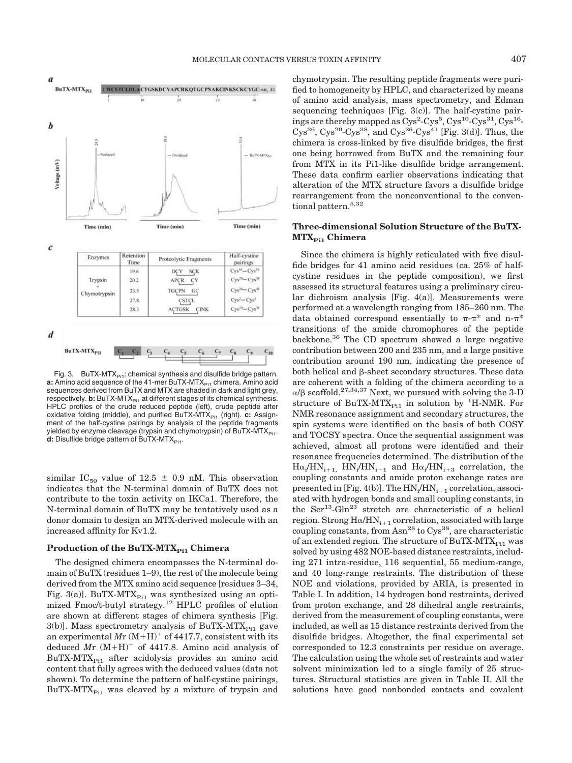

Fig. 3. BuTX-MTX $_{pi1}$ : chemical synthesis and disulfide bridge pattern. **a:** Amino acid sequence of the 41-mer BuTX-MTX<sub>Pi1</sub> chimera. Amino acid sequences derived from BuTX and MTX are shaded in dark and light grey, respectively. **b:** BuTX-MTX<sub>Pi1</sub> at different stages of its chemical synthesis. HPLC profiles of the crude reduced peptide (left), crude peptide after oxidative folding (middle), and purified BuTX-MTX<sub>Pi1</sub> (right). **c:** Assignment of the half-cystine pairings by analysis of the peptide fragments yielded by enzyme cleavage (trypsin and chymotrypsin) of BuTX-MTX $_{PI}$ . **d:** Disulfide bridge pattern of BuTX-MTX<sub>Pi1</sub>.

similar IC<sub>50</sub> value of 12.5  $\pm$  0.9 nM. This observation indicates that the N-terminal domain of BuTX does not contribute to the toxin activity on IKCa1. Therefore, the N-terminal domain of BuTX may be tentatively used as a donor domain to design an MTX-derived molecule with an increased affinity for Kv1.2.

#### **Production of the BuTX-MTX**<sub>Pi1</sub> **Chimera**

The designed chimera encompasses the N-terminal domain of BuTX (residues 1–9), the rest of the molecule being derived from the MTX amino acid sequence [residues 3–34, Fig. 3(a)]. BuTX-MTX<sub>Pi1</sub> was synthesized using an optimized Fmoc/t-butyl strategy.<sup>12</sup> HPLC profiles of elution are shown at different stages of chimera synthesis [Fig. 3(b)]. Mass spectrometry analysis of BuTX-MTX $_{\rm{Pi1}}$  gave an experimental  $Mr (M+H)^+$  of 4417.7, consistent with its deduced  $Mr (M+H)^+$  of 4417.8. Amino acid analysis of  $BuTX-MTX_{p_{i1}}$  after acidolysis provides an amino acid content that fully agrees with the deduced values (data not shown). To determine the pattern of half-cystine pairings,  $BuTX-MTX<sub>Pi1</sub>$  was cleaved by a mixture of trypsin and

chymotrypsin. The resulting peptide fragments were purified to homogeneity by HPLC, and characterized by means of amino acid analysis, mass spectrometry, and Edman sequencing techniques [Fig.  $3(c)$ ]. The half-cystine pairings are thereby mapped as  $Cys^2-Cys^5$ ,  $Cys^{10}-Cys^{31}$ ,  $Cys^{16}$ - $Cys^{36}$ ,  $Cys^{20}$ - $Cys^{38}$ , and  $Cys^{26}$ - $Cys^{41}$  [Fig. 3(d)]. Thus, the chimera is cross-linked by five disulfide bridges, the first one being borrowed from BuTX and the remaining four from MTX in its Pi1-like disulfide bridge arrangement. These data confirm earlier observations indicating that alteration of the MTX structure favors a disulfide bridge rearrangement from the nonconventional to the conventional pattern.<sup>5,32</sup>

# **Three-dimensional Solution Structure of the BuTX-** $MTX<sub>Pi1</sub>$  *Chimera*

Since the chimera is highly reticulated with five disulfide bridges for 41 amino acid residues (ca. 25% of halfcystine residues in the peptide composition), we first assessed its structural features using a preliminary circular dichroism analysis [Fig. 4(a)]. Measurements were performed at a wavelength ranging from 185–260 nm. The data obtained correspond essentially to  $\pi$ - $\pi$ <sup>\*</sup> and n- $\pi$ <sup>\*</sup> transitions of the amide chromophores of the peptide backbone.36 The CD spectrum showed a large negative contribution between 200 and 235 nm, and a large positive contribution around 190 nm, indicating the presence of both helical and  $\beta$ -sheet secondary structures. These data are coherent with a folding of the chimera according to a  $\alpha/\beta$  scaffold.<sup>27,34,37</sup> Next, we pursued with solving the 3-D structure of BuTX-MTX $_{\rm{Pi1}}$  in solution by <sup>1</sup>H-NMR. For NMR resonance assignment and secondary structures, the spin systems were identified on the basis of both COSY and TOCSY spectra. Once the sequential assignment was achieved, almost all protons were identified and their resonance frequencies determined. The distribution of the  $H\alpha_i/HN_{i+1}$ ,  $HN_i/HN_{i+1}$  and  $H\alpha_i/HN_{i+3}$  correlation, the coupling constants and amide proton exchange rates are presented in [Fig. 4(b)]. The  $HN_i/HN_{i+1}$  correlation, associated with hydrogen bonds and small coupling constants, in the Ser<sup>13</sup>-Gln<sup>23</sup> stretch are characteristic of a helical region. Strong  $\mathrm{H}\alpha/\mathrm{HN}_{i+1}$  correlation, associated with large coupling constants, from Asn<sup>28</sup> to Cys<sup>38</sup>, are characteristic of an extended region. The structure of BuTX-MTX $_{\rm{Pi1}}$  was solved by using 482 NOE-based distance restraints, including 271 intra-residue, 116 sequential, 55 medium-range, and 40 long-range restraints. The distribution of these NOE and violations, provided by ARIA, is presented in Table I. In addition, 14 hydrogen bond restraints, derived from proton exchange, and 28 dihedral angle restraints, derived from the measurement of coupling constants, were included, as well as 15 distance restraints derived from the disulfide bridges. Altogether, the final experimental set corresponded to 12.3 constraints per residue on average. The calculation using the whole set of restraints and water solvent minimization led to a single family of 25 structures. Structural statistics are given in Table II. All the solutions have good nonbonded contacts and covalent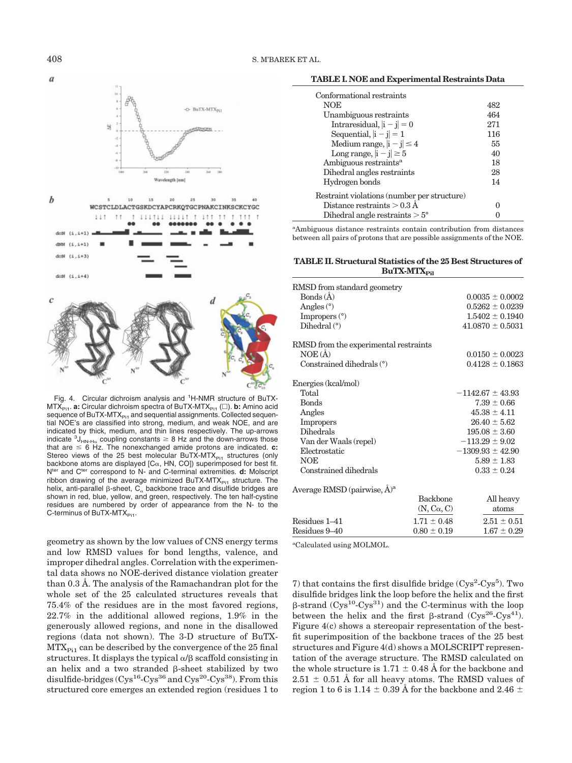

Fig. 4. Circular dichroism analysis and <sup>1</sup>H-NMR structure of BuTX-MTX<sub>Pi1</sub>. **a:** Circular dichroism spectra of BuTX-MTX<sub>Pi1</sub> (□). **b:** Amino acid sequence of BuTX-MTX $_{\rm{Pi1}}$  and sequential assignments. Collected sequential NOE's are classified into strong, medium, and weak NOE, and are indicated by thick, medium, and thin lines respectively. The up-arrows indicate  ${}^{3}J_{HN-H_{\alpha}}$  coupling constants  $\geq 8$  Hz and the down-arrows those that are  $\leq 6$  Hz. The nonexchanged amide protons are indicated.  $c$ : Stereo views of the 25 best molecular BuTX-MTX $_{PI1}$  structures (only backbone atoms are displayed  $[C_{\alpha}, H_N, CO]$  superimposed for best fit. N<sup>ter</sup> and C<sup>ter</sup> correspond to N- and C-terminal extremities. d: Molscript ribbon drawing of the average minimized BuTX-MTX $_{PI1}$  structure. The helix, anti-parallel  $\beta$ -sheet,  ${\sf C}_\alpha$  backbone trace and disulfide bridges are shown in red, blue, yellow, and green, respectively. The ten half-cystine residues are numbered by order of appearance from the N- to the C-terminus of BuTX-MTX<sub>Pi1</sub>.

geometry as shown by the low values of CNS energy terms and low RMSD values for bond lengths, valence, and improper dihedral angles. Correlation with the experimental data shows no NOE-derived distance violation greater than 0.3 Å. The analysis of the Ramachandran plot for the whole set of the 25 calculated structures reveals that 75.4% of the residues are in the most favored regions, 22.7% in the additional allowed regions, 1.9% in the generously allowed regions, and none in the disallowed regions (data not shown). The 3-D structure of BuTX- $MTX_{Pi1}$  can be described by the convergence of the 25 final structures. It displays the typical  $\alpha/\beta$  scaffold consisting in an helix and a two stranded  $\beta$ -sheet stabilized by two disulfide-bridges  $(Cys^{16} - Cys^{36})$  and  $Cys^{20} - Cys^{38})$ . From this structured core emerges an extended region (residues 1 to

**TABLE I. NOE and Experimental Restraints Data**

| Conformational restraints                   |     |  |
|---------------------------------------------|-----|--|
| <b>NOE</b>                                  | 482 |  |
| Unambiguous restraints                      | 464 |  |
| Intraresidual, $ i - j  = 0$                | 271 |  |
| Sequential, $ i - j  = 1$                   | 116 |  |
| Medium range, $ i - j  \leq 4$              | 55  |  |
| Long range, $ i - j  \ge 5$                 | 40  |  |
| Ambiguous restraints <sup>a</sup>           | 18  |  |
| Dihedral angles restraints                  | 28  |  |
| Hydrogen bonds                              | 14  |  |
| Restraint violations (number per structure) |     |  |
| Distance restraints $> 0.3$ Å               |     |  |
| Dihedral angle restraints $> 5^{\circ}$     |     |  |

a Ambiguous distance restraints contain contribution from distances between all pairs of protons that are possible assignments of the NOE.

**TABLE II. Structural Statistics of the 25 Best Structures of BuTX-MTX**<sub>Pil</sub>

| RMSD from standard geometry                      |                   |                      |  |
|--------------------------------------------------|-------------------|----------------------|--|
| Bonds $(A)$                                      |                   | $0.0035 \pm 0.0002$  |  |
| Angles $(°)$                                     |                   | $0.5262 \pm 0.0239$  |  |
| Impropers $(°)$                                  |                   | $1.5402 + 0.1940$    |  |
| Dihedral $(°)$                                   |                   | $41.0870 \pm 0.5031$ |  |
| RMSD from the experimental restraints            |                   |                      |  |
| $NOE(\AA)$                                       |                   | $0.0150 \pm 0.0023$  |  |
| Constrained dihedrals $(°)$                      |                   | $0.4128 \pm 0.1863$  |  |
| Energies (kcal/mol)                              |                   |                      |  |
| Total                                            |                   | $-1142.67 \pm 43.93$ |  |
| <b>Bonds</b>                                     |                   | $7.39 \pm 0.66$      |  |
| Angles                                           |                   | $45.38 \pm 4.11$     |  |
| Impropers                                        |                   | $26.40 + 5.62$       |  |
| <b>Dihedrals</b>                                 |                   | $195.08 \pm 3.60$    |  |
| Van der Waals (repel)                            |                   | $-113.29 \pm 9.02$   |  |
| Electrostatic                                    |                   | $-1309.93 \pm 42.90$ |  |
| <b>NOE</b>                                       |                   | $5.89 \pm 1.83$      |  |
| Constrained dihedrals                            |                   | $0.33 \pm 0.24$      |  |
| Average RMSD (pairwise, $\hat{A}$ ) <sup>a</sup> |                   |                      |  |
|                                                  | <b>Backbone</b>   | All heavy            |  |
|                                                  | $(N, C\alpha, C)$ | atoms                |  |
| Residues 1-41                                    | $1.71 \pm 0.48$   | $2.51 \pm 0.51$      |  |
| Residues 9-40                                    | $0.80 \pm 0.19$   | $1.67 \pm 0.29$      |  |

a Calculated using MOLMOL.

7) that contains the first disulfide bridge  $(Cys<sup>2</sup>-Cys<sup>5</sup>)$ . Two disulfide bridges link the loop before the helix and the first  $\beta$ -strand ( $Cys^{10}$ - $Cys^{31}$ ) and the C-terminus with the loop between the helix and the first  $\beta$ -strand (Cys<sup>26</sup>-Cys<sup>41</sup>). Figure 4(c) shows a stereopair representation of the bestfit superimposition of the backbone traces of the 25 best structures and Figure 4(d) shows a MOLSCRIPT representation of the average structure. The RMSD calculated on the whole structure is  $1.71 \pm 0.48$  Å for the backbone and  $2.51 \pm 0.51$  Å for all heavy atoms. The RMSD values of region 1 to 6 is 1.14  $\pm$  0.39 Å for the backbone and 2.46  $\pm$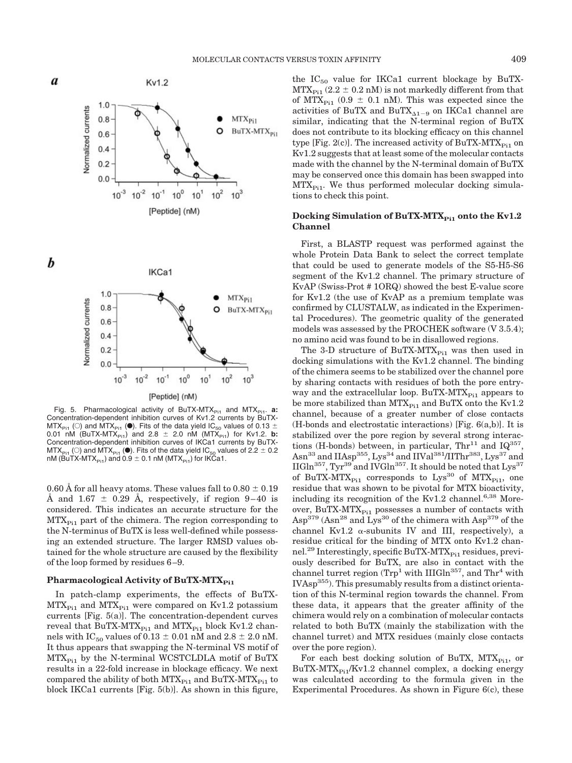

Fig. 5. Pharmacological activity of BuTX-MTX<sub>Pi1</sub> and MTX<sub>Pi1</sub>. a: Concentration-dependent inhibition curves of Kv1.2 currents by BuTX-MTX<sub>Pi1</sub> (O) and MTX<sub>Pi1</sub> (<sup> $\bullet$ </sup>). Fits of the data yield IC<sub>50</sub> values of 0.13  $\pm$ 0.01 nM (BuTX-MTX<sub>Pi1</sub>) and 2.8  $\pm$  2.0 nM (MTX<sub>Pi1</sub>) for Kv1.2. **b:** Concentration-dependent inhibition curves of IKCa1 currents by BuTX-MTX $_{\mathsf{Pi}}$  (O) and MTX $_{\mathsf{Pi}}$  (O). Fits of the data yield IC $_{50}$  values of 2.2  $\pm$  0.2 nM (BuTX-MTX $_{\mathsf{Pi1}}$ ) and 0.9  $\pm$  0.1 nM (MTX $_{\mathsf{Pi1}}$ ) for IKCa1.

0.60 Å for all heavy atoms. These values fall to  $0.80 \pm 0.19$ Å and  $1.67 \pm 0.29$  Å, respectively, if region 9-40 is considered. This indicates an accurate structure for the  $MTX_{Pi1}$  part of the chimera. The region corresponding to the N-terminus of BuTX is less well-defined while possessing an extended structure. The larger RMSD values obtained for the whole structure are caused by the flexibility of the loop formed by residues 6 –9.

## **Pharmacological Activity of BuTX-MTX**<sub>Pi1</sub>

In patch-clamp experiments, the effects of BuTX- $MTX_{Pi1}$  and  $MTX_{Pi1}$  were compared on Kv1.2 potassium currents [Fig. 5(a)]. The concentration-dependent curves reveal that BuTX-MTX $_{\rm{Pi}}$  and MTX $_{\rm{Pi}}$  block Kv1.2 channels with  $IC_{50}$  values of 0.13  $\pm$  0.01 nM and 2.8  $\pm$  2.0 nM. It thus appears that swapping the N-terminal VS motif of  $MTX_{P11}$  by the N-terminal WCSTCLDLA motif of BuTX results in a 22-fold increase in blockage efficacy. We next compared the ability of both  $MTX_{Pi1}$  and BuTX-MTX $_{Pi1}$  to block IKCa1 currents [Fig. 5(b)]. As shown in this figure,

the  $IC_{50}$  value for IKCa1 current blockage by BuTX- $MTX_{Pi1}$  (2.2  $\pm$  0.2 nM) is not markedly different from that of MTX<sub>Pi1</sub> (0.9  $\pm$  0.1 nM). This was expected since the activities of BuTX and BuTX<sub> $\Delta$ 1-9</sub> on IKCa1 channel are similar, indicating that the N-terminal region of BuTX does not contribute to its blocking efficacy on this channel type [Fig. 2(c)]. The increased activity of BuTX-MTX $_{\rm{Pi1}}$  on Kv1.2 suggests that at least some of the molecular contacts made with the channel by the N-terminal domain of BuTX may be conserved once this domain has been swapped into  $MTX_{Pi1}$ . We thus performed molecular docking simulations to check this point.

# Docking Simulation of BuTX-MTX<sub>Pi1</sub> onto the Kv1.2 **Channel**

First, a BLASTP request was performed against the whole Protein Data Bank to select the correct template that could be used to generate models of the S5-H5-S6 segment of the Kv1.2 channel. The primary structure of KvAP (Swiss-Prot # 1ORQ) showed the best E-value score for Kv1.2 (the use of KvAP as a premium template was confirmed by CLUSTALW, as indicated in the Experimental Procedures). The geometric quality of the generated models was assessed by the PROCHEK software (V 3.5.4); no amino acid was found to be in disallowed regions.

The 3-D structure of BuTX-MTX $_{\text{Pi}}$  was then used in docking simulations with the Kv1.2 channel. The binding of the chimera seems to be stabilized over the channel pore by sharing contacts with residues of both the pore entryway and the extracellular loop. BuTX-MTX $_{\rm{Pi}}$  appears to be more stabilized than  $MTX_{Pi1}$  and BuTX onto the Kv1.2 channel, because of a greater number of close contacts (H-bonds and electrostatic interactions) [Fig. 6(a,b)]. It is stabilized over the pore region by several strong interactions (H-bonds) between, in particular, Thr<sup>11</sup> and IQ<sup>357</sup>,  $\mathrm{Asn^{33}}$  and  $\mathrm{IIAsp^{355}}, \mathrm{Lys^{34}}$  and  $\mathrm{IIVal^{381}/IIThr^{383}}, \mathrm{Lys^{37}}$  and IIGln<sup>357</sup>, Tyr<sup>39</sup> and IVGln<sup>357</sup>. It should be noted that  $Lys^{37}$ of BuTX-MTX<sub>Pi1</sub> corresponds to Lys<sup>30</sup> of MTX<sub>Pi1</sub>, one residue that was shown to be pivotal for MTX bioactivity, including its recognition of the Kv1.2 channel. $6,38$  Moreover, BuTX-MT $X_{Pi1}$  possesses a number of contacts with  $\text{Asp}^{379}$  (Asn<sup>28</sup> and Lys<sup>30</sup> of the chimera with Asp<sup>379</sup> of the channel Kv1.2  $\alpha$ -subunits IV and III, respectively), a residue critical for the binding of MTX onto Kv1.2 channel.<sup>29</sup> Interestingly, specific BuTX-MTX<sub>Pi1</sub> residues, previously described for BuTX, are also in contact with the channel turret region  $(Trp^1)$  with IIIGln<sup>357</sup>, and Thr<sup>4</sup> with IVAsp355). This presumably results from a distinct orientation of this N-terminal region towards the channel. From these data, it appears that the greater affinity of the chimera would rely on a combination of molecular contacts related to both BuTX (mainly the stabilization with the channel turret) and MTX residues (mainly close contacts over the pore region).

For each best docking solution of BuTX,  $MTX_{Pi1}$ , or  $BuTX-MTX_{Pi1}/Kv1.2$  channel complex, a docking energy was calculated according to the formula given in the Experimental Procedures. As shown in Figure  $6(c)$ , these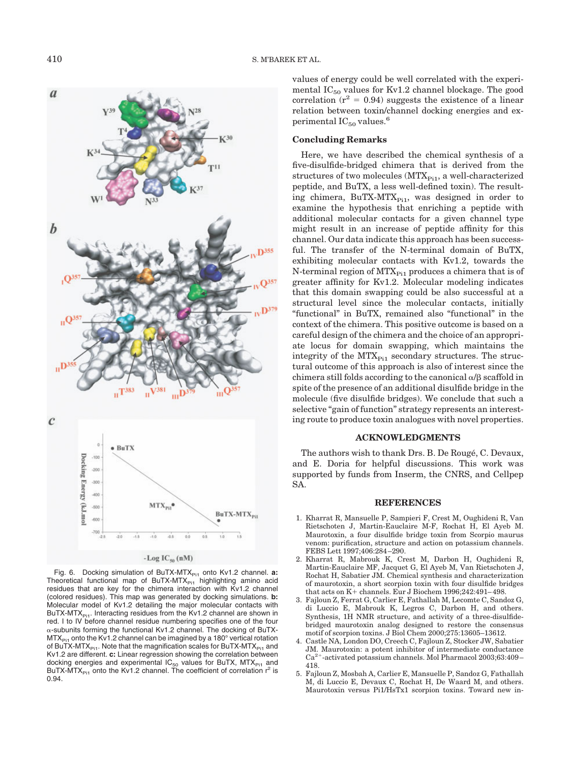

Fig. 6. Docking simulation of BuTX-MTX<sub>Pi1</sub> onto Kv1.2 channel. a: Theoretical functional map of BuTX-MTX $_{Pi1}$  highlighting amino acid residues that are key for the chimera interaction with Kv1.2 channel (colored residues). This map was generated by docking simulations. **b:** Molecular model of Kv1.2 detailing the major molecular contacts with BuTX-MTX<sub>Pi1</sub>. Interacting residues from the Kv1.2 channel are shown in red. I to IV before channel residue numbering specifies one of the four --subunits forming the functional Kv1.2 channel. The docking of BuTX- $MTX_{Pi1}$  onto the Kv1.2 channel can be imagined by a 180 $^{\circ}$  vertical rotation of BuTX-MTX $_{Pi1}$ . Note that the magnification scales for BuTX-MTX $_{Pi1}$  and Kv1.2 are different. **c:** Linear regression showing the correlation between docking energies and experimental  $IC_{50}$  values for BuTX, MTX $_{PI}$  and BuTX-MTX<sub>Pi1</sub> onto the Kv1.2 channel. The coefficient of correlation  $r^2$  is 0.94.

### **Concluding Remarks**

Here, we have described the chemical synthesis of a five-disulfide-bridged chimera that is derived from the structures of two molecules (MTX<sub>Pi1</sub>, a well-characterized peptide, and BuTX, a less well-defined toxin). The resulting chimera,  $BuTX-MTX_{Pi1}$ , was designed in order to examine the hypothesis that enriching a peptide with additional molecular contacts for a given channel type might result in an increase of peptide affinity for this channel. Our data indicate this approach has been successful. The transfer of the N-terminal domain of BuTX, exhibiting molecular contacts with Kv1.2, towards the N-terminal region of  $MTX_{Pi1}$  produces a chimera that is of greater affinity for Kv1.2. Molecular modeling indicates that this domain swapping could be also successful at a structural level since the molecular contacts, initially "functional" in BuTX, remained also "functional" in the context of the chimera. This positive outcome is based on a careful design of the chimera and the choice of an appropriate locus for domain swapping, which maintains the integrity of the  $MTX_{Pi1}$  secondary structures. The structural outcome of this approach is also of interest since the chimera still folds according to the canonical  $\alpha/\beta$  scaffold in spite of the presence of an additional disulfide bridge in the molecule (five disulfide bridges). We conclude that such a selective "gain of function" strategy represents an interesting route to produce toxin analogues with novel properties.

### **ACKNOWLEDGMENTS**

The authors wish to thank Drs. B. De Rougé, C. Devaux, and E. Doria for helpful discussions. This work was supported by funds from Inserm, the CNRS, and Cellpep SA.

#### **REFERENCES**

- 1. Kharrat R, Mansuelle P, Sampieri F, Crest M, Oughideni R, Van Rietschoten J, Martin-Eauclaire M-F, Rochat H, El Ayeb M. Maurotoxin, a four disulfide bridge toxin from Scorpio maurus venom: purification, structure and action on potassium channels. FEBS Lett 1997;406:284 –290.
- 2. Kharrat R, Mabrouk K, Crest M, Darbon H, Oughideni R, Martin-Eauclaire MF, Jacquet G, El Ayeb M, Van Rietschoten J, Rochat H, Sabatier JM. Chemical synthesis and characterization of maurotoxin, a short scorpion toxin with four disulfide bridges that acts on  $K$ + channels. Eur J Biochem 1996;242:491-498.
- 3. Fajloun Z, Ferrat G, Carlier E, Fathallah M, Lecomte C, Sandoz G, di Luccio E, Mabrouk K, Legros C, Darbon H, and others. Synthesis, 1H NMR structure, and activity of a three-disulfidebridged maurotoxin analog designed to restore the consensus motif of scorpion toxins. J Biol Chem 2000;275:13605–13612.
- 4. Castle NA, London DO, Creech C, Fajloun Z, Stocker JW, Sabatier JM. Maurotoxin: a potent inhibitor of intermediate conductance  $Ca^{2+}$ -activated potassium channels. Mol Pharmacol 2003;63:409 – 418.
- 5. Fajloun Z, Mosbah A, Carlier E, Mansuelle P, Sandoz G, Fathallah M, di Luccio E, Devaux C, Rochat H, De Waard M, and others. Maurotoxin versus Pi1/HsTx1 scorpion toxins. Toward new in-